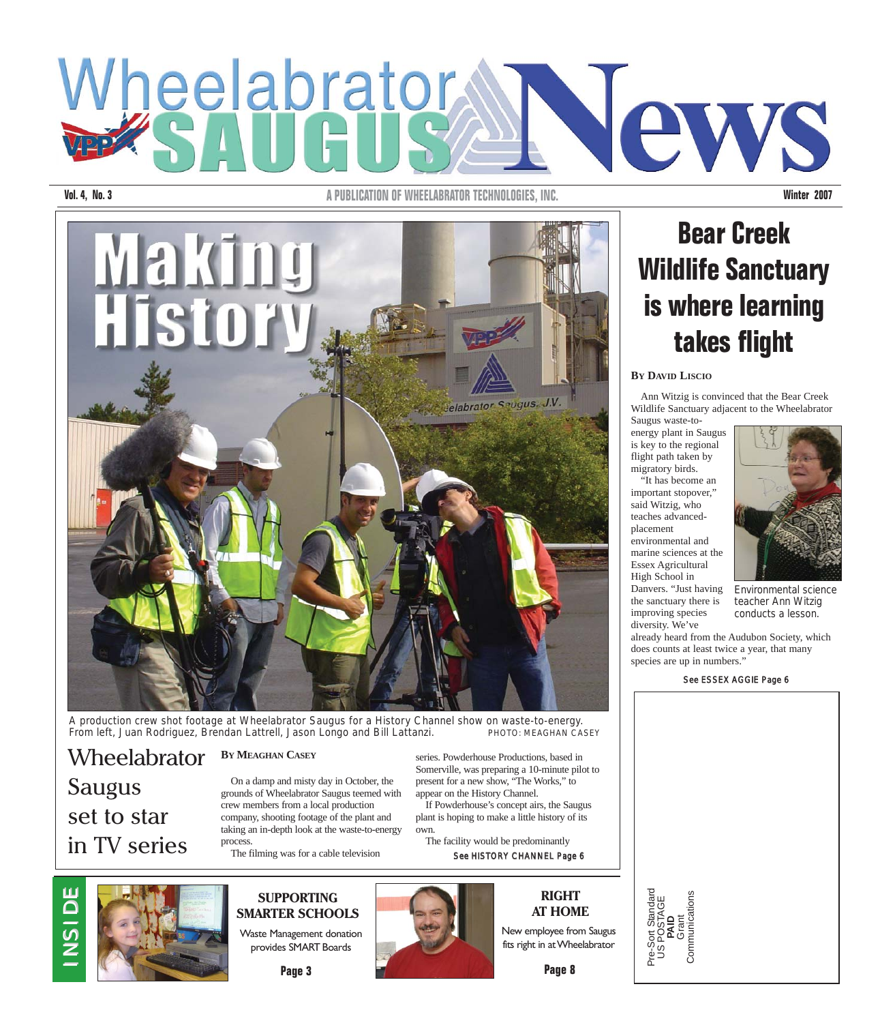## Wheelabrator Yews

**Vol. 4, No. 3 A PUBLICATION OF WHEELABRATOR TECHNOLOGIES. INC. Winter 2007** 



A production crew shot footage at Wheelabrator Saugus for a History Channel show on waste-to-energy. From left, Juan Rodriguez, Brendan Lattrell, Jason Longo and Bill Lattanzi. PHOTO: MEAGHAN CASEY

#### **BY MEAGHAN CASEY** Wheelabrator

On a damp and misty day in October, the grounds of Wheelabrator Saugus teemed with crew members from a local production company, shooting footage of the plant and taking an in-depth look at the waste-to-energy process.

The filming was for a cable television

series. Powderhouse Productions, based in Somerville, was preparing a 10-minute pilot to present for a new show, "The Works," to

appear on the History Channel. If Powderhouse's concept airs, the Saugus plant is hoping to make a little history of its own.

The facility would be predominantly

See HISTORY CHANNEL Page 6

#### **RIGHT AT HOME**

New employee from Saugus

**Page 8**

## **Bear Creek Wildlife Sanctuary is where learning takes flight**

#### **BY DAVID LISCIO**

Ann Witzig is convinced that the Bear Creek Wildlife Sanctuary adjacent to the Wheelabrator Saugus waste-to-

energy plant in Saugus is key to the regional flight path taken by migratory birds. "It has become an

important stopover," said Witzig, who teaches advancedplacement environmental and marine sciences at the

Essex Agricultural High School in

the sanctuary there is improving species diversity. We've

Г

Danvers. "Just having Environmental science teacher Ann Witzig conducts a lesson.

already heard from the Audubon Society, which does counts at least twice a year, that many species are up in numbers."

See ESSEX AGGIE Page 6

| Pre-Sort Standard<br>US POSTAGE<br><b>PAID</b><br>Grant<br>Communications |  |
|---------------------------------------------------------------------------|--|



Saugus

set to star

in TV series



#### **SUPPORTING SMARTER SCHOOLS** Waste Management donation

provides SMART Boards

**Page 3**

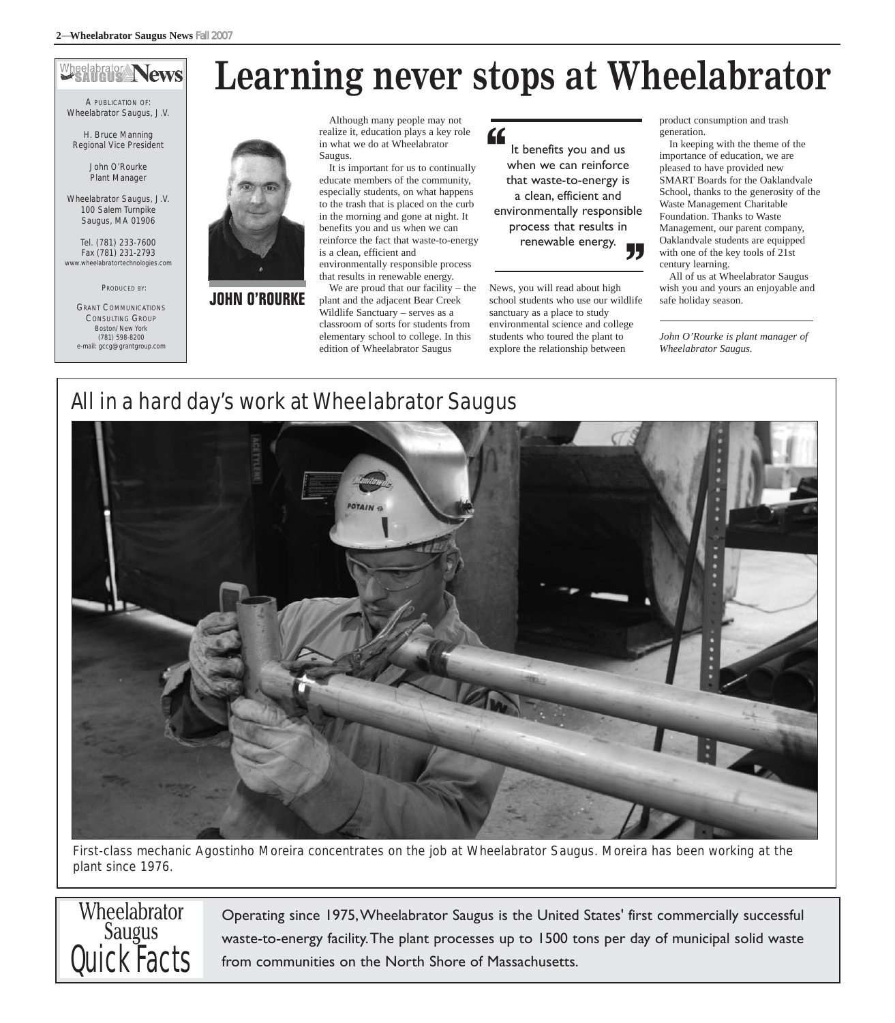### Wheelabrator News

A PUBLICATION OF: Wheelabrator Saugus, J.V.

H. Bruce Manning Regional Vice President

> John O'Rourke Plant Manager

Wheelabrator Saugus, J.V. 100 Salem Turnpike Saugus, MA 01906

Tel. (781) 233-7600 Fax (781) 231-2793 abratortechnologies.com

PRODUCED BY:

GRANT COMMUNICATIONS CONSULTING GROUP Boston/New York (781) 598-8200 e-mail: gccg@grantgroup.com



**JOHN O'ROURKE**

## **Learning never stops at Wheelabrator**

Although many people may not realize it, education plays a key role in what we do at Wheelabrator Saugus.

It is important for us to continually educate members of the community, especially students, on what happens to the trash that is placed on the curb in the morning and gone at night. It benefits you and us when we can reinforce the fact that waste-to-energy is a clean, efficient and environmentally responsible process

that results in renewable energy. We are proud that our facility – the

plant and the adjacent Bear Creek Wildlife Sanctuary – serves as a classroom of sorts for students from elementary school to college. In this edition of Wheelabrator Saugus

It benefits you and us when we can reinforce that waste-to-energy is a clean, efficient and environmentally responsible process that results in renewable energy. "

News, you will read about high school students who use our wildlife sanctuary as a place to study environmental science and college students who toured the plant to explore the relationship between

product consumption and trash generation.

In keeping with the theme of the importance of education, we are pleased to have provided new SMART Boards for the Oaklandvale School, thanks to the generosity of the Waste Management Charitable Foundation. Thanks to Waste Management, our parent company, Oaklandvale students are equipped with one of the key tools of 21st century learning.

All of us at Wheelabrator Saugus wish you and yours an enjoyable and safe holiday season.

*John O'Rourke is plant manager of Wheelabrator Saugus.*

## All in a hard day's work at Wheelabrator Saugus



First-class mechanic Agostinho Moreira concentrates on the job at Wheelabrator Saugus. Moreira has been working at the plant since 1976.

## **Wheelabrator** Saugus Quick Facts

Operating since 1975,Wheelabrator Saugus is the United States' first commercially successful waste-to-energy facility.The plant processes up to 1500 tons per day of municipal solid waste from communities on the North Shore of Massachusetts.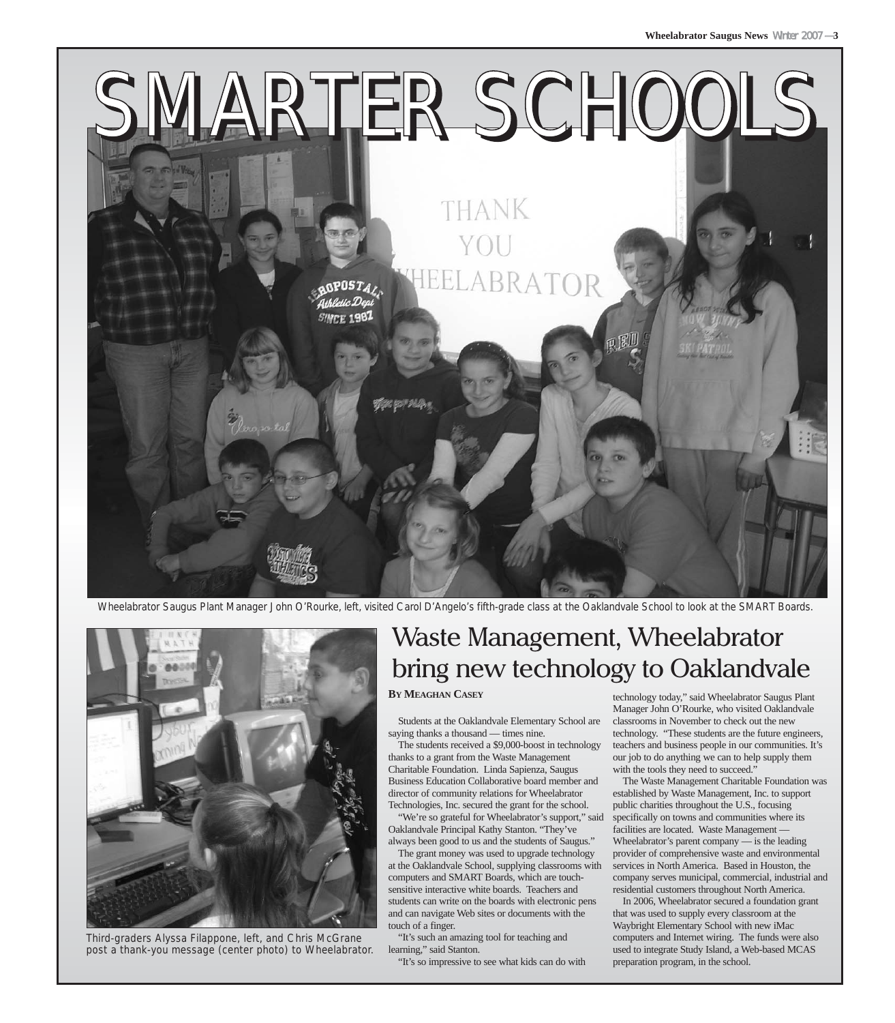

Wheelabrator Saugus Plant Manager John O'Rourke, left, visited Carol D'Angelo's fifth-grade class at the Oaklandvale School to look at the SMART Boards.



Third-graders Alyssa Filappone, left, and Chris McGrane post a thank-you message (center photo) to Wheelabrator.

## Waste Management, Wheelabrator bring new technology to Oaklandvale

#### **BY MEAGHAN CASEY**

Students at the Oaklandvale Elementary School are saying thanks a thousand — times nine.

The students received a \$9,000-boost in technology thanks to a grant from the Waste Management Charitable Foundation. Linda Sapienza, Saugus Business Education Collaborative board member and director of community relations for Wheelabrator Technologies, Inc. secured the grant for the school.

"We're so grateful for Wheelabrator's support," said Oaklandvale Principal Kathy Stanton. "They've always been good to us and the students of Saugus."

The grant money was used to upgrade technology at the Oaklandvale School, supplying classrooms with computers and SMART Boards, which are touchsensitive interactive white boards. Teachers and students can write on the boards with electronic pens and can navigate Web sites or documents with the touch of a finger.

"It's such an amazing tool for teaching and learning," said Stanton.

"It's so impressive to see what kids can do with

technology today," said Wheelabrator Saugus Plant Manager John O'Rourke, who visited Oaklandvale classrooms in November to check out the new technology. "These students are the future engineers, teachers and business people in our communities. It's our job to do anything we can to help supply them with the tools they need to succeed."

The Waste Management Charitable Foundation was established by Waste Management, Inc. to support public charities throughout the U.S., focusing specifically on towns and communities where its facilities are located. Waste Management — Wheelabrator's parent company — is the leading provider of comprehensive waste and environmental services in North America. Based in Houston, the company serves municipal, commercial, industrial and residential customers throughout North America.

In 2006, Wheelabrator secured a foundation grant that was used to supply every classroom at the Waybright Elementary School with new iMac computers and Internet wiring. The funds were also used to integrate Study Island, a Web-based MCAS preparation program, in the school.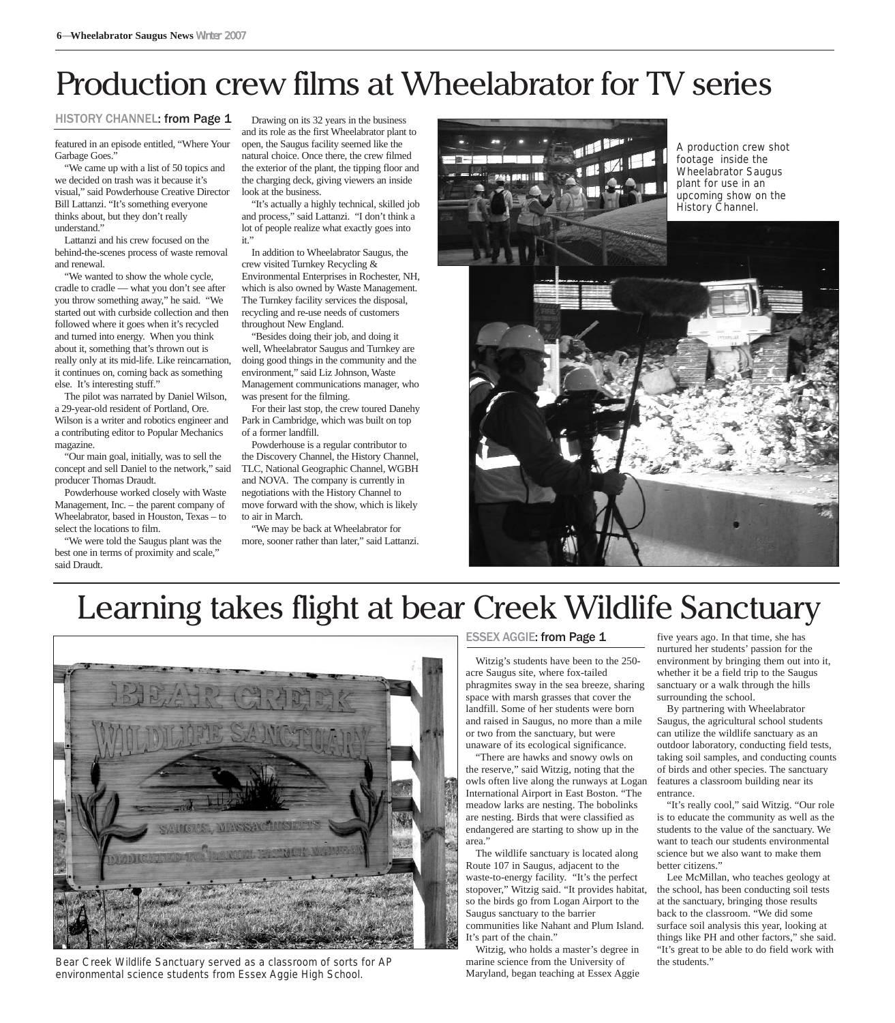## Production crew films at Wheelabrator for TV series

#### HISTORY CHANNEL: from Page 1

featured in an episode entitled, "Where Your Garbage Goes."

"We came up with a list of 50 topics and we decided on trash was it because it's visual," said Powderhouse Creative Director Bill Lattanzi. "It's something everyone thinks about, but they don't really understand."

Lattanzi and his crew focused on the behind-the-scenes process of waste removal and renewal.

"We wanted to show the whole cycle, cradle to cradle — what you don't see after you throw something away," he said. "We started out with curbside collection and then followed where it goes when it's recycled and turned into energy. When you think about it, something that's thrown out is really only at its mid-life. Like reincarnation, it continues on, coming back as something else. It's interesting stuff."

The pilot was narrated by Daniel Wilson, a 29-year-old resident of Portland, Ore. Wilson is a writer and robotics engineer and a contributing editor to Popular Mechanics magazine.

"Our main goal, initially, was to sell the concept and sell Daniel to the network," said producer Thomas Draudt.

Powderhouse worked closely with Waste Management, Inc. – the parent company of Wheelabrator, based in Houston, Texas – to select the locations to film.

"We were told the Saugus plant was the best one in terms of proximity and scale," said Draudt.

Drawing on its 32 years in the business and its role as the first Wheelabrator plant to open, the Saugus facility seemed like the natural choice. Once there, the crew filmed the exterior of the plant, the tipping floor and the charging deck, giving viewers an inside look at the business.

"It's actually a highly technical, skilled job and process," said Lattanzi. "I don't think a lot of people realize what exactly goes into it."

In addition to Wheelabrator Saugus, the crew visited Turnkey Recycling & Environmental Enterprises in Rochester, NH, which is also owned by Waste Management. The Turnkey facility services the disposal, recycling and re-use needs of customers throughout New England.

"Besides doing their job, and doing it well, Wheelabrator Saugus and Turnkey are doing good things in the community and the environment," said Liz Johnson, Waste Management communications manager, who was present for the filming.

For their last stop, the crew toured Danehy Park in Cambridge, which was built on top of a former landfill.

Powderhouse is a regular contributor to the Discovery Channel, the History Channel, TLC, National Geographic Channel, WGBH and NOVA. The company is currently in negotiations with the History Channel to move forward with the show, which is likely to air in March.

"We may be back at Wheelabrator for more, sooner rather than later," said Lattanzi.



## Learning takes flight at bear Creek Wildlife Sanctuary



Bear Creek Wildlife Sanctuary served as a classroom of sorts for AP environmental science students from Essex Aggie High School.

#### ESSEX AGGIE: from Page 1

Witzig's students have been to the 250 acre Saugus site, where fox-tailed phragmites sway in the sea breeze, sharing space with marsh grasses that cover the landfill. Some of her students were born and raised in Saugus, no more than a mile or two from the sanctuary, but were unaware of its ecological significance.

"There are hawks and snowy owls on the reserve," said Witzig, noting that the owls often live along the runways at Logan International Airport in East Boston. "The meadow larks are nesting. The bobolinks are nesting. Birds that were classified as endangered are starting to show up in the area."

The wildlife sanctuary is located along Route 107 in Saugus, adjacent to the waste-to-energy facility. "It's the perfect stopover," Witzig said. "It provides habitat, so the birds go from Logan Airport to the Saugus sanctuary to the barrier communities like Nahant and Plum Island. It's part of the chain."

Witzig, who holds a master's degree in marine science from the University of Maryland, began teaching at Essex Aggie five years ago. In that time, she has nurtured her students' passion for the environment by bringing them out into it, whether it be a field trip to the Saugus sanctuary or a walk through the hills surrounding the school.

By partnering with Wheelabrator Saugus, the agricultural school students can utilize the wildlife sanctuary as an outdoor laboratory, conducting field tests, taking soil samples, and conducting counts of birds and other species. The sanctuary features a classroom building near its entrance.

"It's really cool," said Witzig. "Our role is to educate the community as well as the students to the value of the sanctuary. We want to teach our students environmental science but we also want to make them better citizens."

Lee McMillan, who teaches geology at the school, has been conducting soil tests at the sanctuary, bringing those results back to the classroom. "We did some surface soil analysis this year, looking at things like PH and other factors," she said. "It's great to be able to do field work with the students."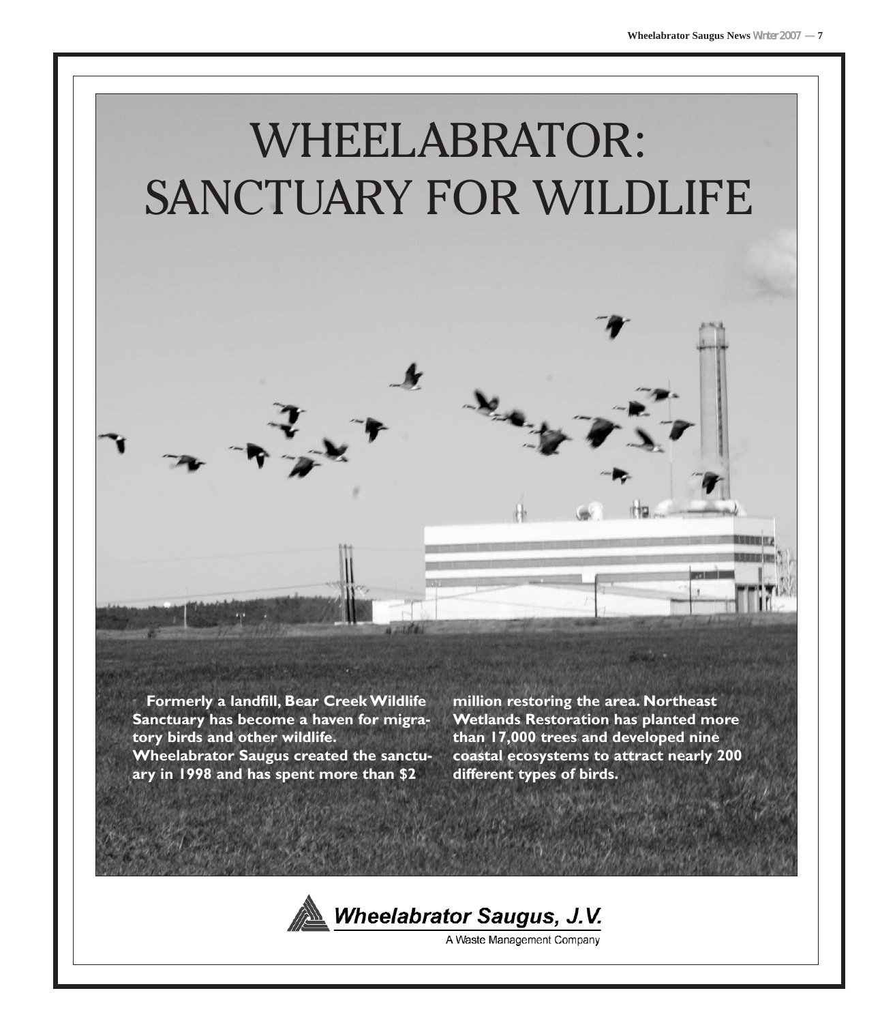

**Formerly a landfill, Bear Creek Wildlife Sanctuary has become a haven for migratory birds and other wildlife. Wheelabrator Saugus created the sanctuary in 1998 and has spent more than \$2**

**million restoring the area. Northeast Wetlands Restoration has planted more than 17,000 trees and developed nine coastal ecosystems to attract nearly 200 different types of birds.**



A Waste Management Company